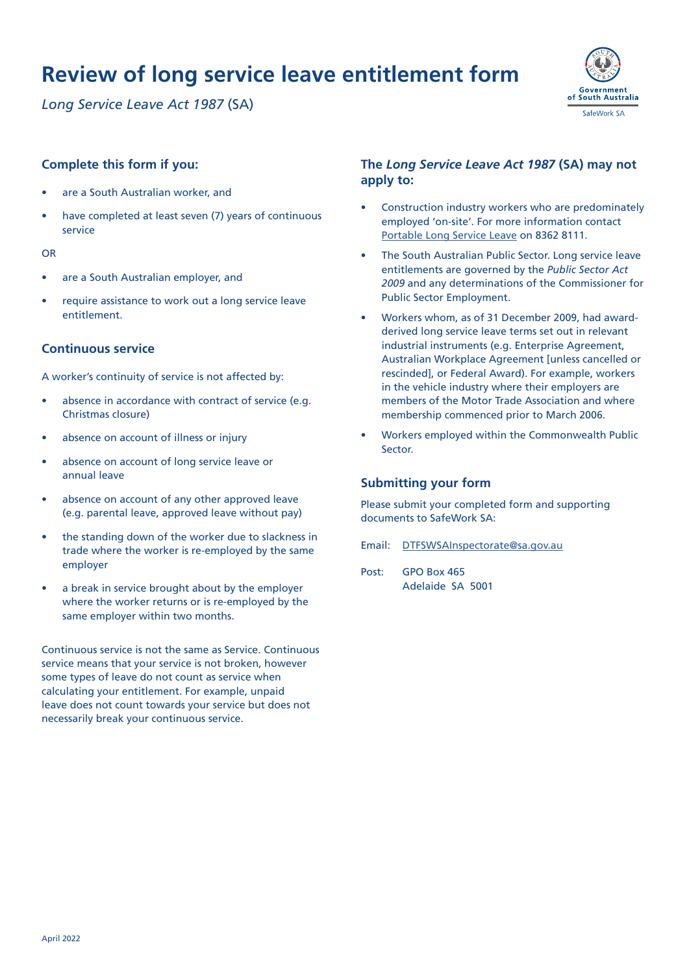*Long Service Leave Act 1987* (SA)



#### **Complete this form if you:**

- are a South Australian worker, and
- have completed at least seven (7) years of continuous service

#### OR

- are a South Australian employer, and
- require assistance to work out a long service leave entitlement.

#### **Continuous service**

A worker's continuity of service is not affected by:

- absence in accordance with contract of service (e.g. Christmas closure)
- absence on account of illness or injury
- absence on account of long service leave or annual leave
- absence on account of any other approved leave (e.g. parental leave, approved leave without pay)
- the standing down of the worker due to slackness in trade where the worker is re-employed by the same employer
- a break in service brought about by the employer where the worker returns or is re-employed by the same employer within two months.

Continuous service is not the same as Service. Continuous service means that your service is not broken, however some types of leave do not count as service when calculating your entitlement. For example, unpaid leave does not count towards your service but does not necessarily break your continuous service.

#### **The** *Long Service Leave Act 1987* **(SA) may not apply to:**

- Construction industry workers who are predominately employed 'on-site'. For more information contact [Portable Long Service Leave](https://www.portableleave.org.au/) on 8362 8111.
- The South Australian Public Sector. Long service leave entitlements are governed by the *Public Sector Act 2009* and any determinations of the Commissioner for Public Sector Employment.
- Workers whom, as of 31 December 2009, had awardderived long service leave terms set out in relevant industrial instruments (e.g. Enterprise Agreement, Australian Workplace Agreement [unless cancelled or rescinded], or Federal Award). For example, workers in the vehicle industry where their employers are members of the Motor Trade Association and where membership commenced prior to March 2006.
- Workers employed within the Commonwealth Public Sector.

#### **Submitting your form**

Please submit your completed form and supporting documents to SafeWork SA:

- Email: [DTFSWSAInspectorate@sa.gov.au](http://DTFSWSAInspectorate@sa.gov.au)
- Post: GPO Box 465 Adelaide SA 5001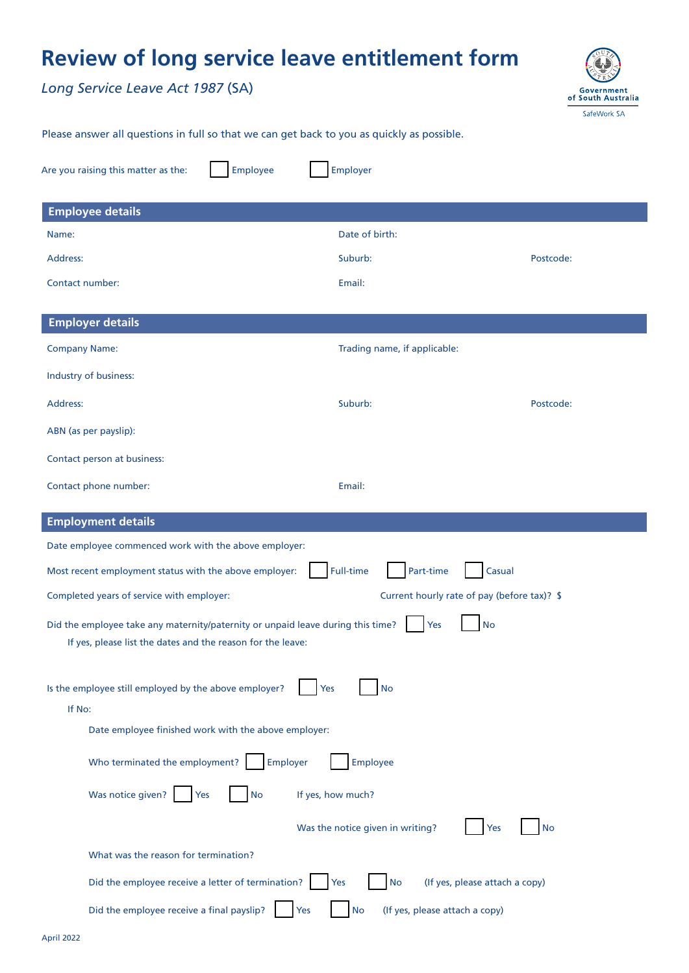*Long Service Leave Act 1987* (SA)



Please answer all questions in full so that we can get back to you as quickly as possible.

| Are you raising this matter as the:<br><b>Employee</b>                                                                                                             | Employer                                           |           |  |  |  |
|--------------------------------------------------------------------------------------------------------------------------------------------------------------------|----------------------------------------------------|-----------|--|--|--|
| <b>Employee details</b>                                                                                                                                            |                                                    |           |  |  |  |
| Name:                                                                                                                                                              | Date of birth:                                     |           |  |  |  |
| Address:                                                                                                                                                           | Suburb:                                            | Postcode: |  |  |  |
| Contact number:                                                                                                                                                    | Email:                                             |           |  |  |  |
| <b>Employer details</b>                                                                                                                                            |                                                    |           |  |  |  |
| <b>Company Name:</b>                                                                                                                                               | Trading name, if applicable:                       |           |  |  |  |
| Industry of business:                                                                                                                                              |                                                    |           |  |  |  |
| Address:                                                                                                                                                           | Suburb:                                            | Postcode: |  |  |  |
| ABN (as per payslip):                                                                                                                                              |                                                    |           |  |  |  |
| Contact person at business:                                                                                                                                        |                                                    |           |  |  |  |
| Contact phone number:                                                                                                                                              | Email:                                             |           |  |  |  |
| <b>Employment details</b>                                                                                                                                          |                                                    |           |  |  |  |
| Date employee commenced work with the above employer:                                                                                                              |                                                    |           |  |  |  |
| <b>Full-time</b><br>Part-time<br>Most recent employment status with the above employer:<br>Casual                                                                  |                                                    |           |  |  |  |
| Completed years of service with employer:                                                                                                                          | Current hourly rate of pay (before tax)? \$        |           |  |  |  |
| Did the employee take any maternity/paternity or unpaid leave during this time?<br>Yes<br><b>No</b><br>If yes, please list the dates and the reason for the leave: |                                                    |           |  |  |  |
| Is the employee still employed by the above employer?<br>Yes<br>No<br>If No:                                                                                       |                                                    |           |  |  |  |
| Date employee finished work with the above employer:                                                                                                               |                                                    |           |  |  |  |
| Who terminated the employment?<br>Employer<br>Employee                                                                                                             |                                                    |           |  |  |  |
| Was notice given?<br><b>No</b><br>Yes                                                                                                                              | If yes, how much?                                  |           |  |  |  |
|                                                                                                                                                                    | Was the notice given in writing?<br>Yes            | No        |  |  |  |
| What was the reason for termination?                                                                                                                               |                                                    |           |  |  |  |
| Did the employee receive a letter of termination?                                                                                                                  | (If yes, please attach a copy)<br>Yes<br><b>No</b> |           |  |  |  |
| Did the employee receive a final payslip?<br>(If yes, please attach a copy)<br>Yes<br><b>No</b>                                                                    |                                                    |           |  |  |  |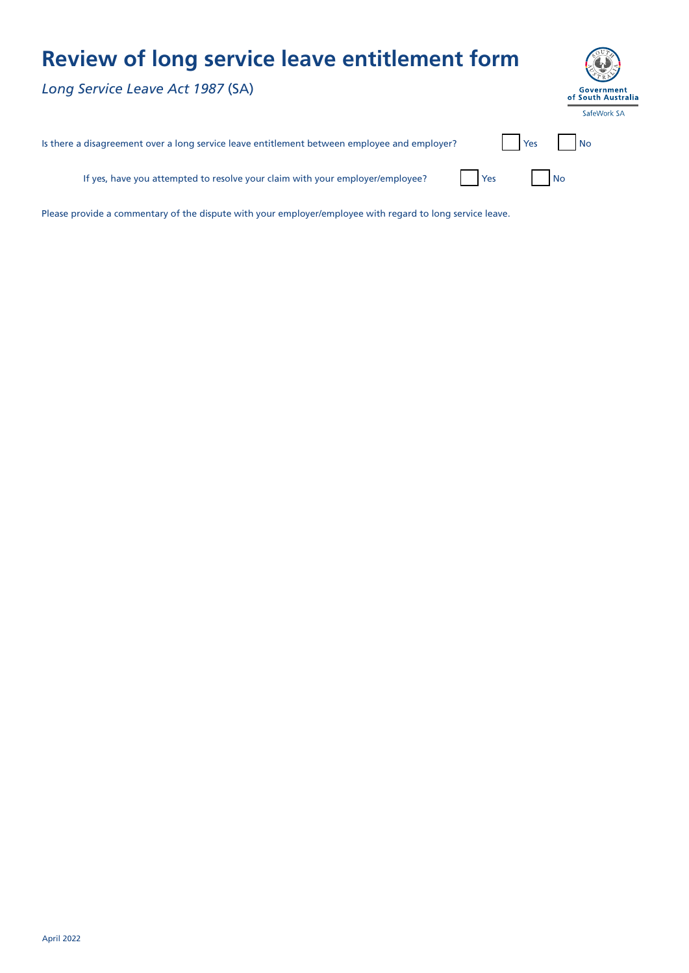*Long Service Leave Act 1987* (SA)

| Government<br>of South Australia |  |  |  |  |
|----------------------------------|--|--|--|--|
| SafeWork SA                      |  |  |  |  |

| Is there a disagreement over a long service leave entitlement between employee and employer? | <b>I</b> Yes |  | <b>No</b> |
|----------------------------------------------------------------------------------------------|--------------|--|-----------|
|----------------------------------------------------------------------------------------------|--------------|--|-----------|

If yes, have you attempted to resolve your claim with your employer/employee?  $\blacksquare$  Yes  $\blacksquare$  No

Please provide a commentary of the dispute with your employer/employee with regard to long service leave.